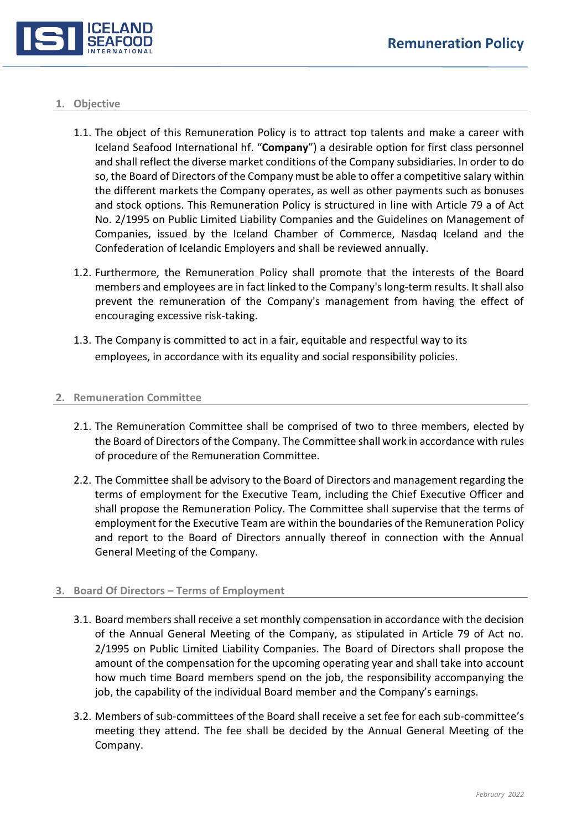

### **1. Objective**

- 1.1. The object of this Remuneration Policy is to attract top talents and make a career with Iceland Seafood International hf. "**Company**") a desirable option for first class personnel and shall reflect the diverse market conditions of the Company subsidiaries. In order to do so, the Board of Directors of the Company must be able to offer a competitive salary within the different markets the Company operates, as well as other payments such as bonuses and stock options. This Remuneration Policy is structured in line with Article 79 a of Act No. 2/1995 on Public Limited Liability Companies and the Guidelines on Management of Companies, issued by the Iceland Chamber of Commerce, Nasdaq Iceland and the Confederation of Icelandic Employers and shall be reviewed annually.
- 1.2. Furthermore, the Remuneration Policy shall promote that the interests of the Board members and employees are in fact linked to the Company's long-term results. It shall also prevent the remuneration of the Company's management from having the effect of encouraging excessive risk-taking.
- 1.3. The Company is committed to act in a fair, equitable and respectful way to its employees, in accordance with its equality and social responsibility policies.

### **2. Remuneration Committee**

- 2.1. The Remuneration Committee shall be comprised of two to three members, elected by the Board of Directors of the Company. The Committee shall work in accordance with rules of procedure of the Remuneration Committee.
- 2.2. The Committee shall be advisory to the Board of Directors and management regarding the terms of employment for the Executive Team, including the Chief Executive Officer and shall propose the Remuneration Policy. The Committee shall supervise that the terms of employment for the Executive Team are within the boundaries of the Remuneration Policy and report to the Board of Directors annually thereof in connection with the Annual General Meeting of the Company.

# **3. Board Of Directors – Terms of Employment**

- 3.1. Board members shall receive a set monthly compensation in accordance with the decision of the Annual General Meeting of the Company, as stipulated in Article 79 of Act no. 2/1995 on Public Limited Liability Companies. The Board of Directors shall propose the amount of the compensation for the upcoming operating year and shall take into account how much time Board members spend on the job, the responsibility accompanying the job, the capability of the individual Board member and the Company's earnings.
- 3.2. Members of sub-committees of the Board shall receive a set fee for each sub-committee's meeting they attend. The fee shall be decided by the Annual General Meeting of the Company.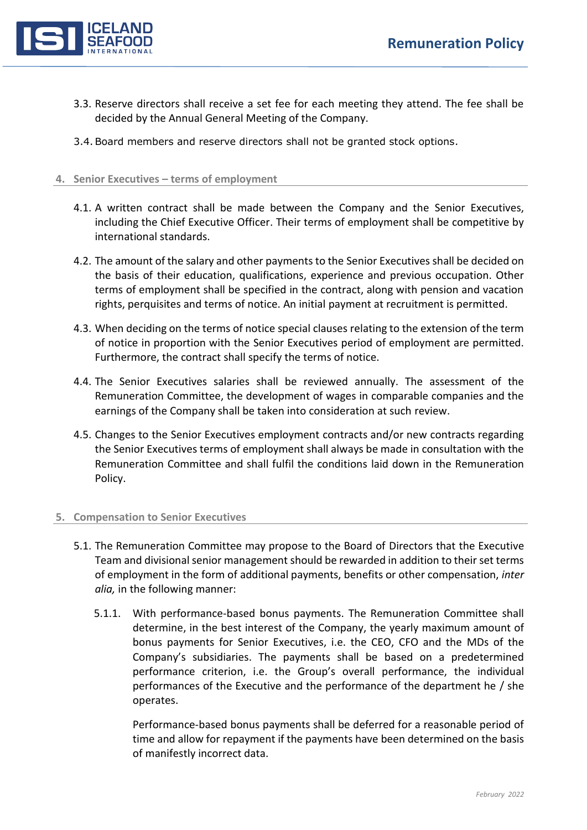

- 3.3. Reserve directors shall receive a set fee for each meeting they attend. The fee shall be decided by the Annual General Meeting of the Company.
- 3.4.Board members and reserve directors shall not be granted stock options.

# **4. Senior Executives – terms of employment**

- 4.1. A written contract shall be made between the Company and the Senior Executives, including the Chief Executive Officer. Their terms of employment shall be competitive by international standards.
- 4.2. The amount of the salary and other payments to the Senior Executives shall be decided on the basis of their education, qualifications, experience and previous occupation. Other terms of employment shall be specified in the contract, along with pension and vacation rights, perquisites and terms of notice. An initial payment at recruitment is permitted.
- 4.3. When deciding on the terms of notice special clauses relating to the extension of the term of notice in proportion with the Senior Executives period of employment are permitted. Furthermore, the contract shall specify the terms of notice.
- 4.4. The Senior Executives salaries shall be reviewed annually. The assessment of the Remuneration Committee, the development of wages in comparable companies and the earnings of the Company shall be taken into consideration at such review.
- 4.5. Changes to the Senior Executives employment contracts and/or new contracts regarding the Senior Executives terms of employment shall always be made in consultation with the Remuneration Committee and shall fulfil the conditions laid down in the Remuneration Policy.

# **5. Compensation to Senior Executives**

- 5.1. The Remuneration Committee may propose to the Board of Directors that the Executive Team and divisional senior management should be rewarded in addition to their set terms of employment in the form of additional payments, benefits or other compensation, *inter alia,* in the following manner:
	- 5.1.1. With performance-based bonus payments. The Remuneration Committee shall determine, in the best interest of the Company, the yearly maximum amount of bonus payments for Senior Executives, i.e. the CEO, CFO and the MDs of the Company's subsidiaries. The payments shall be based on a predetermined performance criterion, i.e. the Group's overall performance, the individual performances of the Executive and the performance of the department he / she operates.

Performance-based bonus payments shall be deferred for a reasonable period of time and allow for repayment if the payments have been determined on the basis of manifestly incorrect data.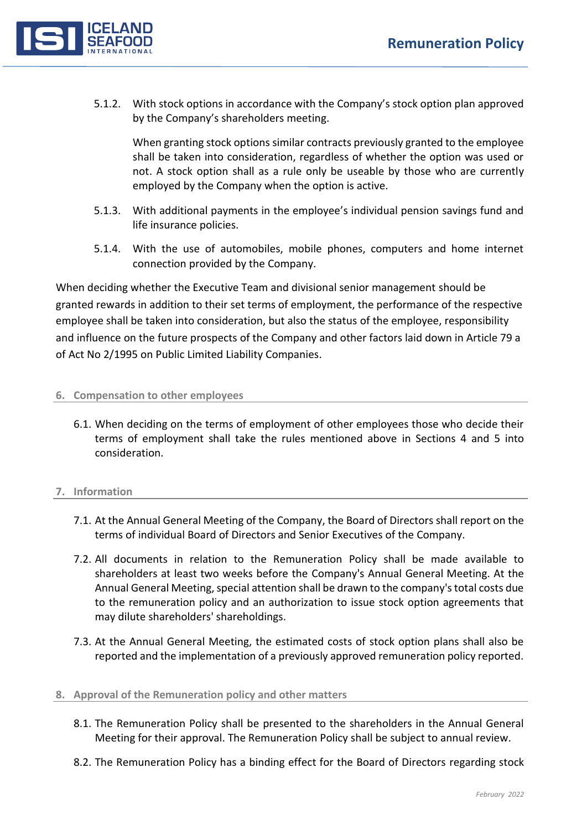

5.1.2. With stock options in accordance with the Company's stock option plan approved by the Company's shareholders meeting.

When granting stock options similar contracts previously granted to the employee shall be taken into consideration, regardless of whether the option was used or not. A stock option shall as a rule only be useable by those who are currently employed by the Company when the option is active.

- 5.1.3. With additional payments in the employee's individual pension savings fund and life insurance policies.
- 5.1.4. With the use of automobiles, mobile phones, computers and home internet connection provided by the Company.

When deciding whether the Executive Team and divisional senior management should be granted rewards in addition to their set terms of employment, the performance of the respective employee shall be taken into consideration, but also the status of the employee, responsibility and influence on the future prospects of the Company and other factors laid down in Article 79 a of Act No 2/1995 on Public Limited Liability Companies.

# **6. Compensation to other employees**

6.1. When deciding on the terms of employment of other employees those who decide their terms of employment shall take the rules mentioned above in Sections 4 and 5 into consideration.

# **7. Information**

- 7.1. At the Annual General Meeting of the Company, the Board of Directors shall report on the terms of individual Board of Directors and Senior Executives of the Company.
- 7.2. All documents in relation to the Remuneration Policy shall be made available to shareholders at least two weeks before the Company's Annual General Meeting. At the Annual General Meeting, special attention shall be drawn to the company's total costs due to the remuneration policy and an authorization to issue stock option agreements that may dilute shareholders' shareholdings.
- 7.3. At the Annual General Meeting, the estimated costs of stock option plans shall also be reported and the implementation of a previously approved remuneration policy reported.

# **8. Approval of the Remuneration policy and other matters**

- 8.1. The Remuneration Policy shall be presented to the shareholders in the Annual General Meeting for their approval. The Remuneration Policy shall be subject to annual review.
- 8.2. The Remuneration Policy has a binding effect for the Board of Directors regarding stock